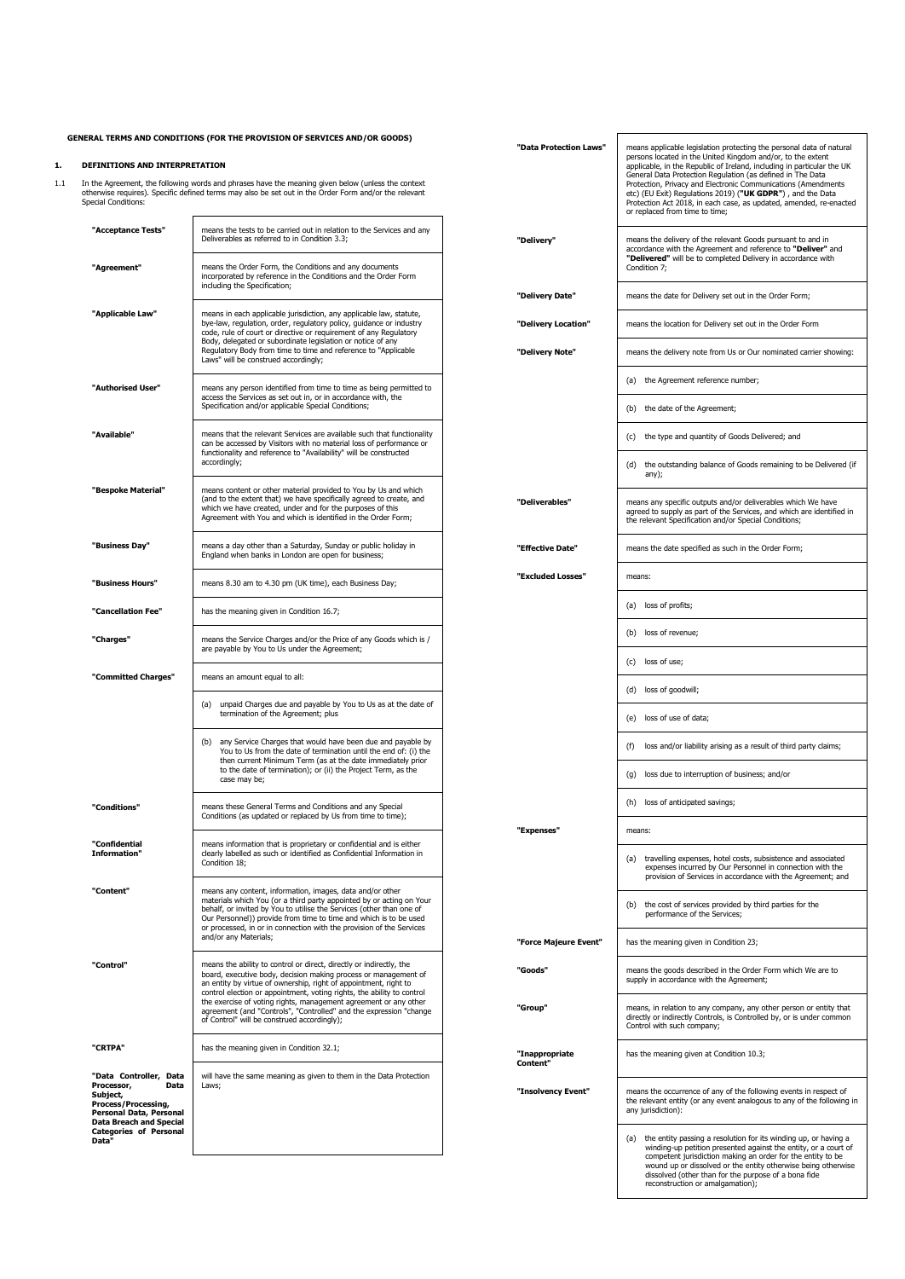### **GENERAL TERMS AND CONDITIONS (FOR THE PROVISION OF SERVICES AND/OR GOODS) 1. DEFINITIONS AND INTERPRETATION** 1.1 In the Agreement, the following words and phrases have the meaning given below (unless the context otherwise requires). Specific defined terms may also be set out in the Order Form and/or the relevant Special Conditions: **"Acceptance Tests"** means the tests to be carried out in relation to the Services and any Deliverables as referred to in Condition [3.3;](#page-2-0) **Agreement"** means the Order Form, the Conditions and any documents incorporated by reference in the Conditions and the Order Form including the Specification; **"Applicable Law"** means in each applicable gradiation, any applicable law, statute,<br>bye-law, regulation, order, regulatory policy, guidance or industry<br>code, rule of court or directive or requirement of any Regulatory<br>Bod Laws" will be construed accordingly; **"Authorised User"** means any person identified from time to time as being permitted to access the Services as set out in a coordance with, the solid Special Conditions; access the Special Conditions; and the Special Condi "**Available"** means that the relevant Services are available such that functionality<br>can be accessed by Visitors with no material loss of performance or<br>functionality and reference to "Availability" will be constructed accordingly; **"Bespoke Material"** means content or other material provided to You by Us and which (and to the extent that) we have specifically agreed to create, and which we have created, under and for the purposes of this Agreement with You and which is identified in the Order Form; **"Business Day"** means a day other than a Saturday, Sunday or public holiday in England when banks in London are open for business; **"Business Hours"** means 8.30 am to 4.30 pm (UK time), each Business Day; **"Cancellation Fee"** has the meaning given in Conditio[n 16.7;](#page-4-0) **"Charges"** means the Service Charges and/or the Price of any Goods which is /<br>are payable by You to Us under the Agreement; **"Committed Charges"** means an amount equal to all: (a) unpaid Charges due and payable by You to Us as at the date of termination of the Agreement; plus (b) any Service Charges that would have been due and payable by You to Us from the date of termination until the end of: (i) the then current Minimum Term (as at the date immediately prior to the date of termination); or (ii) the Project Term, as the case may be; **"Conditions"** means these General Terms and Conditions and any Special Conditions (as updated or replaced by Us from time to time); **"Confidential Informati** means information that is proprietary or confidential and is either clearly labelled as such or identified as Confidential Information in Condition 18: **"Content"** means any content, information, images, data and/or other materials which You (or a third party appointed by or acting on Your behalf, or invited by You to utilise the Services (other than one of Our Personnel)) provide from time to time and which is to be used or processed, in or in connection with the provision of the Services and/or any Materials; "Control"<br>means the ability to control or direct, directly or indirectly, the<br>board, executive body, decision making process or management of<br>an entity by virtue of ownership, right of appointment, right to<br>control electri **"CRTPA"** has the meaning given in Condition [32.1;](#page-6-0) **"Data Controller, Data Processor, Data Subject, Process/Processing, Personal Data, Personal Data Breach and Special Categories of Personal Data"** will have the same meaning as given to them in the Data Protection Laws; "Data Protection Laws"<br>persons located in the United Kingdom and/or, to the extent<br>applicable, in the Republic of Ireland, including in particular the UK<br>General Data Protection Regulation (as defined in The Data Protection, Privacy and Electronic Communications (Amendments etc) (EU Exit) Regulations 2019) (**"UK GDPR"**) , and the Data Protection Act 2018, in each case, as updated, amended, re-enacted orto, in caen of<br>m time to time; **"Delivery"** means the delivery of the relevant Goods pursuant to and in accordance with the Agreement and reference to **"Deliver"** and **"Delivered"** will be to completed Delivery in accordance with Conditio[n 7;](#page-3-0) **"Delivery Date"** means the date for Delivery set out in the Order Form; **"Delivery Location"** means the location for Delivery set out in the Order Form **"Delivery Note"** means the delivery note from Us or Our nominated carrier showing: (a) the Agreement reference number; (b) the date of the Agreement; (c) the type and quantity of Goods Delivered; and (d) the outstanding balance of Goods remaining to be Delivered (if any); **"Deliverables"** means any specific outputs and/or deliverables which We have agreed to supply as part of the Services, and which are identified in the relevant Specification and/or Special Conditions; **"Effective Date"** means the date specified as such in the Order Form; **"Excluded Losses"** means: (a) loss of profits; (b) loss of revenue; (c) loss of use; (d) loss of goodwill; (e) loss of use of data; (f) loss and/or liability arising as a result of third party claims; (g) loss due to interruption of business; and/or (h) loss of anticipated savings; **"Expenses"** means: (a) travelling expenses, hotel costs, subsistence and associated expenses incurred by Our Personnel in connection with the provision of Services in accordance with the Agreement; and (b) the cost of services provided by third parties for the performance of the Services; **"Force Majeure Event"** has the meaning given in Condition [23;](#page-6-1) **"Goods"** means the goods described in the Order Form which We are to supply in accordance with the Agreement; **"Group"** means, in relation to any company, any other person or entity that directly or indirectly Controls, is Controlled by, or is under common Control with such company; **"Inappropriate Content"** has the meaning given at Condition [10.3;](#page-3-1) **"Insolvency Event"** means the occurrence of any of the following events in respect of the relevant entity (or any event analogous to any of the following in any jurisdiction): (a) the entity passing a resolution for its winding up, or having a winding-up petition presented against the entity, or a court of competent jurisdiction making an order for the entity to be

wound up or dissolved or the entity otherwise being otherwise dissolved (other than for the purpose of a bona fide

reconstruction or amalgamation);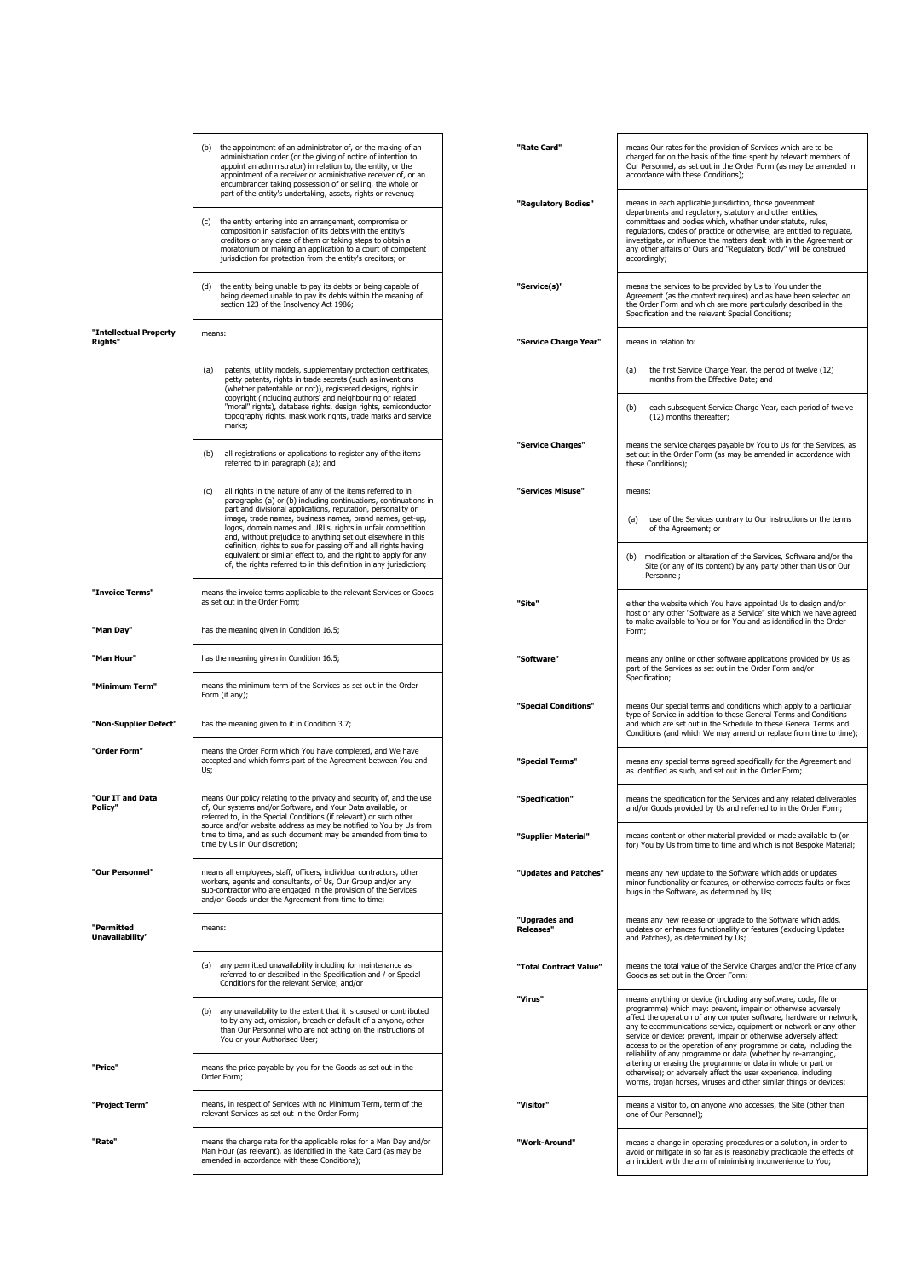<span id="page-1-1"></span><span id="page-1-0"></span>

|                                   | (b) the appointment of an administrator of, or the making of an<br>administration order (or the giving of notice of intention to<br>appoint an administrator) in relation to, the entity, or the<br>appointment of a receiver or administrative receiver of, or an<br>encumbrancer taking possession of or selling, the whole or                                                     | "Rate Card"                       | means Our rates for the provision of Services which are to be<br>charged for on the basis of the time spent by relevant members of<br>Our Personnel, as set out in the Order Form (as may be amended in<br>accordance with these Conditions);                                                                                                                                                                                                                                           |
|-----------------------------------|--------------------------------------------------------------------------------------------------------------------------------------------------------------------------------------------------------------------------------------------------------------------------------------------------------------------------------------------------------------------------------------|-----------------------------------|-----------------------------------------------------------------------------------------------------------------------------------------------------------------------------------------------------------------------------------------------------------------------------------------------------------------------------------------------------------------------------------------------------------------------------------------------------------------------------------------|
|                                   | part of the entity's undertaking, assets, rights or revenue;<br>(c) the entity entering into an arrangement, compromise or<br>composition in satisfaction of its debts with the entity's<br>creditors or any class of them or taking steps to obtain a<br>moratorium or making an application to a court of competent<br>jurisdiction for protection from the entity's creditors; or | "Regulatory Bodies"               | means in each applicable jurisdiction, those government<br>departments and regulatory, statutory and other entities,<br>committees and bodies which, whether under statute, rules,<br>regulations, codes of practice or otherwise, are entitled to regulate,<br>investigate, or influence the matters dealt with in the Agreement or<br>any other affairs of Ours and "Regulatory Body" will be construed<br>accordingly;                                                               |
|                                   | (d) the entity being unable to pay its debts or being capable of<br>being deemed unable to pay its debts within the meaning of<br>section 123 of the Insolvency Act 1986;                                                                                                                                                                                                            | "Service(s)"                      | means the services to be provided by Us to You under the<br>Agreement (as the context requires) and as have been selected on<br>the Order Form and which are more particularly described in the<br>Specification and the relevant Special Conditions;                                                                                                                                                                                                                                   |
| "Intellectual Property<br>Rights" | means:                                                                                                                                                                                                                                                                                                                                                                               | "Service Charge Year"             | means in relation to:                                                                                                                                                                                                                                                                                                                                                                                                                                                                   |
|                                   | patents, utility models, supplementary protection certificates,<br>(a)<br>petty patents, rights in trade secrets (such as inventions<br>(whether patentable or not)), registered designs, rights in<br>copyright (including authors' and neighbouring or related<br>"moral" rights), database rights, design rights, semiconductor                                                   |                                   | the first Service Charge Year, the period of twelve (12)<br>(a)<br>months from the Effective Date; and<br>each subsequent Service Charge Year, each period of twelve<br>(b)                                                                                                                                                                                                                                                                                                             |
|                                   | topography rights, mask work rights, trade marks and service<br>marks;                                                                                                                                                                                                                                                                                                               |                                   | (12) months thereafter;                                                                                                                                                                                                                                                                                                                                                                                                                                                                 |
|                                   | all registrations or applications to register any of the items<br>(b)<br>referred to in paragraph (a); and                                                                                                                                                                                                                                                                           | "Service Charges"                 | means the service charges payable by You to Us for the Services, as<br>set out in the Order Form (as may be amended in accordance with<br>these Conditions);                                                                                                                                                                                                                                                                                                                            |
|                                   | all rights in the nature of any of the items referred to in<br>(c)<br>paragraphs (a) or (b) including continuations, continuations in                                                                                                                                                                                                                                                | "Services Misuse"                 | means:                                                                                                                                                                                                                                                                                                                                                                                                                                                                                  |
|                                   | part and divisional applications, reputation, personality or<br>image, trade names, business names, brand names, get-up,<br>logos, domain names and URLs, rights in unfair competition<br>and, without prejudice to anything set out elsewhere in this<br>definition, rights to sue for passing off and all rights having                                                            |                                   | use of the Services contrary to Our instructions or the terms<br>(a)<br>of the Agreement; or                                                                                                                                                                                                                                                                                                                                                                                            |
|                                   | equivalent or similar effect to, and the right to apply for any<br>of, the rights referred to in this definition in any jurisdiction;                                                                                                                                                                                                                                                |                                   | modification or alteration of the Services, Software and/or the<br>(b)<br>Site (or any of its content) by any party other than Us or Our<br>Personnel;                                                                                                                                                                                                                                                                                                                                  |
| "Invoice Terms"                   | means the invoice terms applicable to the relevant Services or Goods<br>as set out in the Order Form;                                                                                                                                                                                                                                                                                | "Site"                            | either the website which You have appointed Us to design and/or<br>host or any other "Software as a Service" site which we have agreed<br>to make available to You or for You and as identified in the Order                                                                                                                                                                                                                                                                            |
| "Man Day"                         | has the meaning given in Condition 16.5;                                                                                                                                                                                                                                                                                                                                             |                                   | Form;                                                                                                                                                                                                                                                                                                                                                                                                                                                                                   |
| "Man Hour"                        | has the meaning given in Condition 16.5;                                                                                                                                                                                                                                                                                                                                             | "Software"                        | means any online or other software applications provided by Us as<br>part of the Services as set out in the Order Form and/or<br>Specification;                                                                                                                                                                                                                                                                                                                                         |
| "Minimum Term"                    | means the minimum term of the Services as set out in the Order<br>Form (if any);                                                                                                                                                                                                                                                                                                     | "Special Conditions"              | means Our special terms and conditions which apply to a particular                                                                                                                                                                                                                                                                                                                                                                                                                      |
| "Non-Supplier Defect"             | has the meaning given to it in Condition 3.7;                                                                                                                                                                                                                                                                                                                                        |                                   | type of Service in addition to these General Terms and Conditions<br>and which are set out in the Schedule to these General Terms and<br>Conditions (and which We may amend or replace from time to time);                                                                                                                                                                                                                                                                              |
| "Order Form"                      | means the Order Form which You have completed, and We have<br>accepted and which forms part of the Agreement between You and<br>Us;                                                                                                                                                                                                                                                  | "Special Terms"                   | means any special terms agreed specifically for the Agreement and<br>as identified as such, and set out in the Order Form;                                                                                                                                                                                                                                                                                                                                                              |
| "Our IT and Data<br>Policy"       | means Our policy relating to the privacy and security of, and the use<br>of, Our systems and/or Software, and Your Data available, or<br>referred to, in the Special Conditions (if relevant) or such other<br>source and/or website address as may be notified to You by Us from                                                                                                    | "Specification"                   | means the specification for the Services and any related deliverables<br>and/or Goods provided by Us and referred to in the Order Form;                                                                                                                                                                                                                                                                                                                                                 |
|                                   | time to time, and as such document may be amended from time to<br>time by Us in Our discretion;                                                                                                                                                                                                                                                                                      | "Supplier Material"               | means content or other material provided or made available to (or<br>for) You by Us from time to time and which is not Bespoke Material;                                                                                                                                                                                                                                                                                                                                                |
| "Our Personnel"                   | means all employees, staff, officers, individual contractors, other<br>workers, agents and consultants, of Us, Our Group and/or any<br>sub-contractor who are engaged in the provision of the Services<br>and/or Goods under the Agreement from time to time;                                                                                                                        | "Updates and Patches"             | means any new update to the Software which adds or updates<br>minor functionality or features, or otherwise corrects faults or fixes<br>bugs in the Software, as determined by Us;                                                                                                                                                                                                                                                                                                      |
| "Permitted<br>Unavailability"     | means:                                                                                                                                                                                                                                                                                                                                                                               | "Upgrades and<br><b>Releases"</b> | means any new release or upgrade to the Software which adds,<br>updates or enhances functionality or features (excluding Updates<br>and Patches), as determined by Us;                                                                                                                                                                                                                                                                                                                  |
|                                   | (a) any permitted unavailability including for maintenance as<br>referred to or described in the Specification and / or Special<br>Conditions for the relevant Service; and/or                                                                                                                                                                                                       | "Total Contract Value"            | means the total value of the Service Charges and/or the Price of any<br>Goods as set out in the Order Form;                                                                                                                                                                                                                                                                                                                                                                             |
|                                   | (b) any unavailability to the extent that it is caused or contributed<br>to by any act, omission, breach or default of a anyone, other<br>than Our Personnel who are not acting on the instructions of<br>You or your Authorised User;                                                                                                                                               | "Virus"                           | means anything or device (including any software, code, file or<br>programme) which may: prevent, impair or otherwise adversely<br>affect the operation of any computer software, hardware or network,<br>any telecommunications service, equipment or network or any other<br>service or device; prevent, impair or otherwise adversely affect<br>access to or the operation of any programme or data, including the<br>reliability of any programme or data (whether by re-arranging, |
| "Price"                           | means the price payable by you for the Goods as set out in the<br>Order Form;                                                                                                                                                                                                                                                                                                        |                                   | altering or erasing the programme or data in whole or part or<br>otherwise); or adversely affect the user experience, including<br>worms, trojan horses, viruses and other similar things or devices;                                                                                                                                                                                                                                                                                   |
| "Project Term"                    | means, in respect of Services with no Minimum Term, term of the<br>relevant Services as set out in the Order Form;                                                                                                                                                                                                                                                                   | "Visitor"                         | means a visitor to, on anyone who accesses, the Site (other than<br>one of Our Personnel);                                                                                                                                                                                                                                                                                                                                                                                              |
| "Rate"                            | means the charge rate for the applicable roles for a Man Day and/or<br>Man Hour (as relevant), as identified in the Rate Card (as may be<br>amended in accordance with these Conditions);                                                                                                                                                                                            | "Work-Around"                     | means a change in operating procedures or a solution, in order to<br>avoid or mitigate in so far as is reasonably practicable the effects of<br>an incident with the aim of minimising inconvenience to You;                                                                                                                                                                                                                                                                            |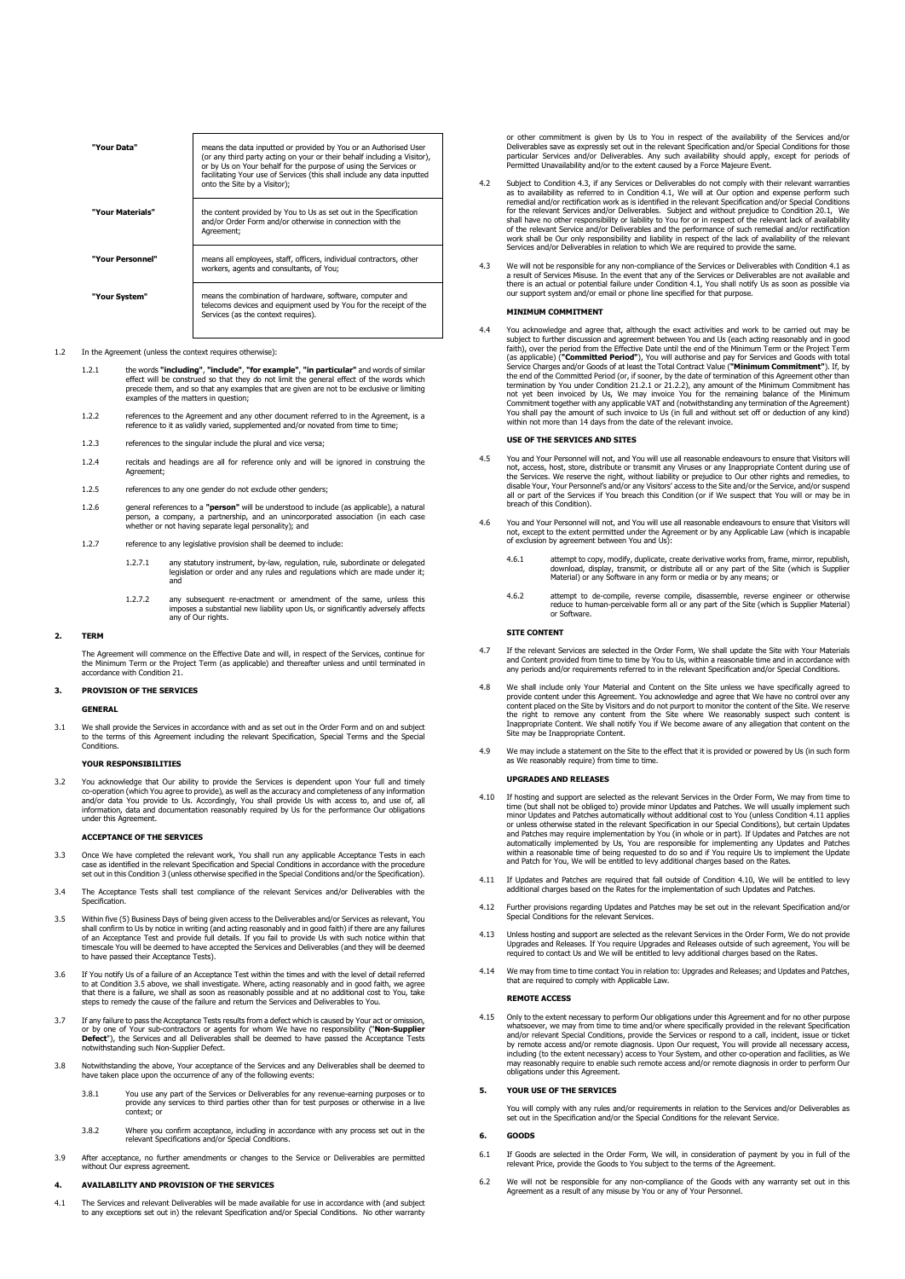| "Your Data"      | means the data inputted or provided by You or an Authorised User<br>(or any third party acting on your or their behalf including a Visitor),<br>or by Us on Your behalf for the purpose of using the Services or<br>facilitating Your use of Services (this shall include any data inputted<br>onto the Site by a Visitor): |
|------------------|-----------------------------------------------------------------------------------------------------------------------------------------------------------------------------------------------------------------------------------------------------------------------------------------------------------------------------|
| "Your Materials" | the content provided by You to Us as set out in the Specification<br>and/or Order Form and/or otherwise in connection with the<br>Agreement;                                                                                                                                                                                |
| "Your Personnel" | means all employees, staff, officers, individual contractors, other<br>workers, agents and consultants, of You:                                                                                                                                                                                                             |
| "Your System"    | means the combination of hardware, software, computer and<br>telecoms devices and equipment used by You for the receipt of the<br>Services (as the context requires).                                                                                                                                                       |

#### 1.2 In the Agreement (unless the context requires otherwise):

- 1.2.1 the words "**including", "include", "for example", "in particular**" and words of similar<br>effect will be construed so that they do not limit the general effect of the words which<br>precede them, and so that any examples examples of the matters in question:
- 1.2.2 references to the Agreement and any other document referred to in the Agreement, is a reference to it as validly varied, supplemented and/or novated from time to time;
- 1.2.3 references to the singular include the plural and vice versa;
- 1.2.4 recitals and headings are all for reference only and will be ignored in construing the Agreement;
- 1.2.5 references to any one gender do not exclude other genders;
- 1.2.6 general references to a "**person**" will be understood to include (as applicable), a natural<br>person, a company, a partnership, and an unincorporated association (in each case<br>whether or not having separate legal perso
- 1.2.7 reference to any legislative provision shall be deemed to include:
	- 1.2.7.1 any statutory instrument, by-law, regulation, rule, subordinate or delegated legislation or order and any rules and regulations which are made under it; and
	- 1.2.7.2 any subsequent re-enactment or amendment of the same, unless this imposes a substantial new liability upon Us, or significantly adversely affects any of Our rights.

#### **2. TERM**

The Agreement will commence on the Effective Date and will, in respect of the Services, continue for the Minimum Term or the Project Term (as applicable) and thereafter unless and until terminated in accordance with Condition [21.](#page-5-1)

### <span id="page-2-2"></span>**3. PROVISION OF THE SERVICES**

# **GENERAL**

3.1 We shall provide the Services in accordance with and as set out in the Order Form and on and subject to the terms of this Agreement including the relevant Specification, Special Terms and the Special Conditions.

# **YOUR RESPONSIBILITIES**

You acknowledge that Our ability to provide the Services is dependent upon Your full and timely<br>co-operation (which You agree to provide), as well as the accuracy and completeness of any information<br>and/or data You provide under this Agreement.

#### **ACCEPTANCE OF THE SERVICES**

- <span id="page-2-0"></span>[3](#page-2-2).3 Once We have completed the relevant work, You shall run any applicable Acceptance Tests in each<br>case as identified in the relevant Specification and Special Conditions in accordance with the procedure<br>set out in this C
- 3.4 The Acceptance Tests shall test compliance of the relevant Services and/or Deliverables with the Specification.
- 3.5 Within five (5) Business Days of being given access to the Deliverables and/or Services as relevant, You shall confirm to Us by notice in writing (and acting reasonably and in good faith) if there are any failures<br>of an Acceptance Test and provide full details. If you fail to provide Us with such notice within that<br>timescale to have passed their Acceptance Tests).
- 3.6 If You notify Us of a failure of an Acceptance Test within the times and with the level of detail referred to at Condition 3.5 above, we shall investigate. Where, acting reasonably and in good faith, we agree<br>that there is a failure, we shall as soon as reasonably possible and at no additional cost to You, take<br>steps to remedy
- 3.7 If any failure to pass the Acceptance Tests results from a defect which is caused by Your act or omission, or by one of Your sub-contractors or agents for whom We have no responsibility ("**Non-Supplier Defect**"), the Services and all Deliverables shall be deemed to have passed the Acceptance Tests not such Non-Supplier Defect.
- <span id="page-2-1"></span>3.8 Notwithstanding the above, Your acceptance of the Services and any Deliverables shall be deemed to have taken place upon the occurrence of any of the following events:
	- 3.8.1 You use any part of the Services or Deliverables for any revenue-earning purposes or to provide any services to third parties other than for test purposes or otherwise in a live context; or
	- 3.8.2 Where you confirm acceptance, including in accordance with any process set out in the relevant Specifications and/or Special Conditions.
- 3.9 After acceptance, no further amendments or changes to the Service or Deliverables are permitted without Our express agreement.

# <span id="page-2-7"></span>**4. AVAILABILITY AND PROVISION OF THE SERVICES**

<span id="page-2-4"></span>4.1 The Services and relevant Deliverables will be made available for use in accordance with (and subject to any exceptions set out in) the relevant Specification and/or Special Conditions. No other warranty

or other commitment is given by Us to You in respect of the availability of the Services and/or Deliverables save as expressly set out in the relevant Specification and/or Special Conditions for those<br>particular Services and/or Deliverables. Any such availability should apply, except for periods of<br>Permitted Unavaila

- 4.2 Subject to Condition [4.3,](#page-2-3) if any Services or Deliverables do not comply with their relevant warranties as to availability as referred to in Condition [4.1,](#page-2-4) We will at Our option and expense perform such remedial and/or rectification work as is identified in the relevant Specification and/or Special Conditions remedial and/or redification work as is identified in the relevant Specification and/or Special Conditions<br>for the relevant Services and/or Deliverables. Subject and without prejudice to Condition [20.1,](#page-5-2) We<br>shall have no ot
- <span id="page-2-3"></span>4.3 We will not be responsible for any non-compliance of the Services or Deliverables with Condition [4.1](#page-2-4) as<br>a result of Services Misuse. In the event that any of the Services or Deliverables are not available and<br>there is

## **MINIMUM COMMITMENT**

4.4 You acknowledge and agree that, although the exact activities and work to be carried out may be subject to further discussion and agreement between You and Us (each acting reasonably and in good<br>faith), over the period from the Effective Date until the end of the Minimum Term or the Project Term<br>(as applicable) (**"Co** 

# **USE OF THE SERVICES AND SITES**

- 4.5 You and Your Personnel will not, and You will use all reasonable endeavours to ensure that Visitors will no<br>not, access, host, store, distribute or transmit any Viruses or any Inappropriate Content during use of<br>the Se breach of this Condition).
- 4.6 You and Your Personnel will not, and You will use all reasonable endeavours to ensure that Visitors will<br>not, except to the extent permitted under the Agreement or by any Applicable Law (which is incapable<br>of exclusion
	- 4.6.1 attempt to copy, modify, duplicate, create derivative works from, frame, mirror, republish, download, display, transmit, or distribute all or any part of the Site (which is Supplier Material) or any Software in any form or media or by any means; or
	- 4.6.2 attempt to de-compile, reverse compile, disassemble, reverse engineer or otherwise reduce to human-perceivable form all or any part of the Site (which is Supplier Material) or Software.

#### **SITE CONTENT**

- It the relevant Services are selected in the Order Form, We shall update the Site with Your Materials.<br>and Content provided from time to time by You to Us, within a reasonable time and in accordance with<br>any periods and/or
- 4.8 We shall include only Your Material and Content on the Site unless we have specifically agreed to provide content under this Agreement. You acknowledge and agree that We have no control over any content placed on the Site by Visitors and do not purport to monitor the content of the Site. We reserve the right to remove any content from the Site where We reasonably suspect such content is Inappropriate Content. We shall notify You if We become aware of any allegation that content on the site may be Inappropriate Content.
- 4.9 We may include a statement on the Site to the effect that it is provided or powered by Us (in such form as We reasonably require) from time to time.

# **UPGRADES AND RELEASES**

- <span id="page-2-6"></span>4.10 If hosting and support are selected as the relevant Services in the Order Form, We may from time to time (but shall not be obliged to) provide minor Updates and Patches. We will usually implement such minor Updates and Patches automatically without additional cost to You (unless Condition [4.11](#page-2-5) applies or unless otherwise stated in the relevant Specification in our Special Conditions), but certain Updates and Patches may require implementation by You (in whole or in part). If Updates and Patches are not<br>automatically implemented by Us, You are responsible for implementing any Updates and Patches<br>within a reasonable time of
- <span id="page-2-5"></span>4.11 If Updates and Patches are required that fall outside of Condition [4.10,](#page-2-6) We will be entitled to levy additional charges based on the Rates for the implementation of such Updates and Patches.
- 4.12 Further provisions regarding Updates and Patches may be set out in the relevant Specification and/or Special Conditions for the relevant Services.
- 4.13 Unless hosting and support are selected as the relevant Services in the Order Form, We do not provide Upgrades and Releases. If You require Upgrades and Releases outside of such agreement, You will be required to contact Us and We will be entitled to levy additional charges based on the Rates.
- 4.14 We may from time to time contact You in relation to: Upgrades and Releases; and Updates and Patches, that are required to comply with Applicable Law.

#### **REMOTE ACCESS**

4.15 Only to the extent necessary to perform Our obligations under this Agreement and for no other purpose<br>whatsoever, we may from time to time and/or where specifically provided in the relevant Specification<br>and/or releva may reasonably require to enable such remote access and/or remote diagnosis in order to perform Our obligations under this Agreement.

# **5. YOUR USE OF THE SERVICES**

You will comply with any rules and/or requirements in relation to the Services and/or Deliverables as set out in the Specification and/or the Special Conditions for the relevant Service.

# **6. GOODS**

- 6.1 If Goods are selected in the Order Form, We will, in consideration of payment by you in full of the relevant Price, provide the Goods to You subject to the terms of the Agreement.
- 6.2 We will not be responsible for any non-compliance of the Goods with any warranty set out in this Agreement as a result of any misuse by You or any of Your Personnel.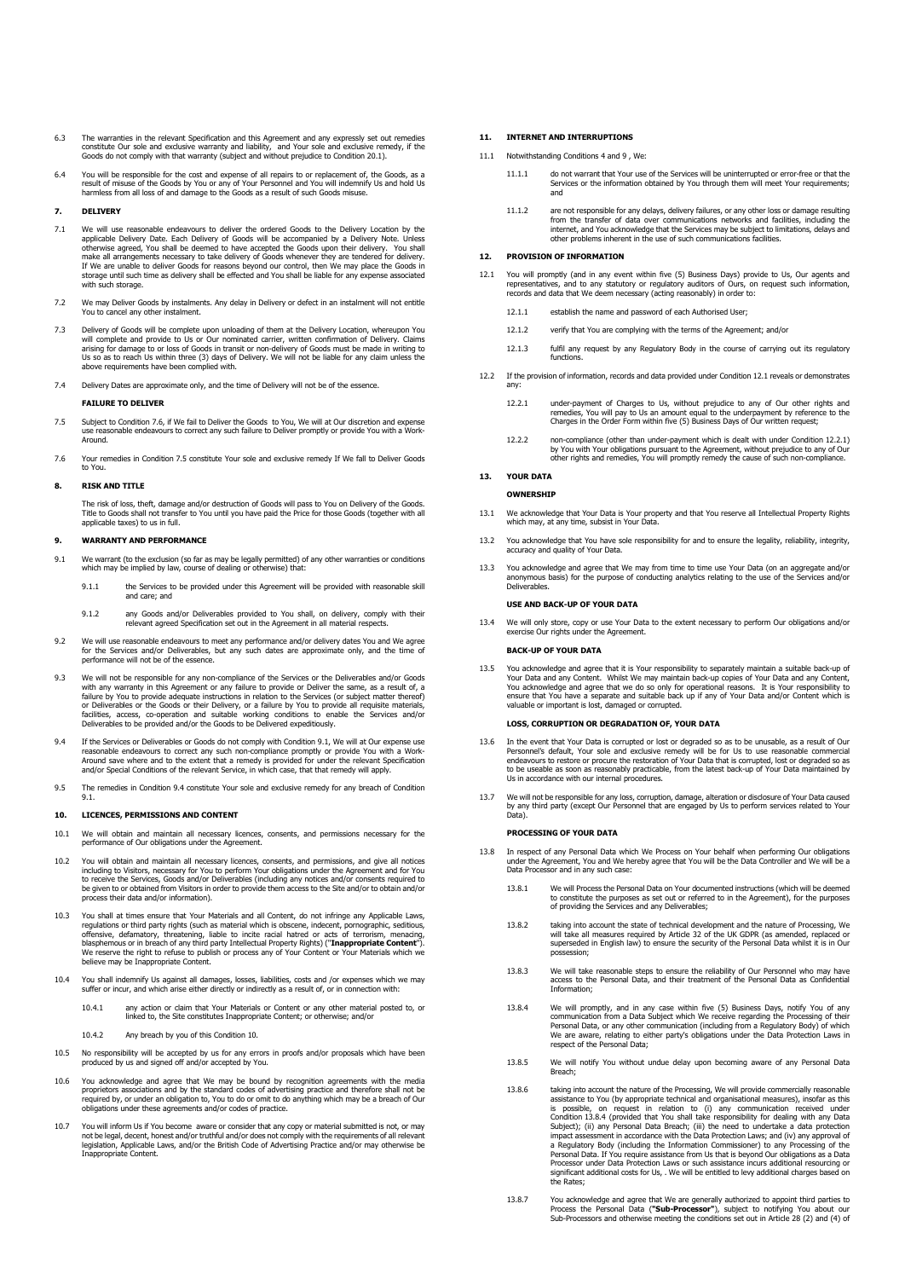- 6.3 The warranties in the relevant Specification and this Agreement and any expressly set out remedies constitute Our sole and exclusive warranty and liability, and Your sole and exclusive remedy, if the Goods do not comply with that warranty (subject and without prejudice to Condition [20.1\).](#page-5-2)
- 6.4 You will be responsible for the cost and expense of all repairs to or replacement of, the Goods, as a<br>result of misuse of the Goods by You or any of Your Personnel and You will indemnify Us and hold Us<br>harmless from al

### <span id="page-3-0"></span>**7. DELIVERY**

- 7.1 We will use reasonable endeavours to deliver the ordered Goods to the Delivery Location by the applicable Delivery Date. Each Delivery of Goods will be accompanied by a Delivery Note. Unless otherwise agreed, You shall with such storage.
- 7.2 We may Deliver Goods by instalments. Any delay in Delivery or defect in an instalment will not entitle You to cancel any other instalment.
- 7.3 Delivery of Goods will be complete upon unloading of them at the Delivery Location, whereupon You will complete and provide to Us or Our nominated carrier, written confirmation of Delivery. Claims arising for damage to or loss of Goods in transit or non-delivery of Goods must be made in writing to Us so as to reach Us within three (3) days of Delivery. We will not be liable for any claim unless the above requirements have been complied with.
- 7.4 Delivery Dates are approximate only, and the time of Delivery will not be of the essence.

#### **FAILURE TO DELIVER**

- <span id="page-3-3"></span>7.5 Subject to Condition [7.6,](#page-3-2) if We fail to Deliver the Goods to You, We will at Our discretion and expense use reasonable endeavours to correct any such failure to Deliver promptly or provide You with a Work-Around.
- <span id="page-3-2"></span>7.6 Your remedies in Condition [7.5](#page-3-3) constitute Your sole and exclusive remedy If We fall to Deliver Goods to You.

### **8. RISK AND TITLE**

The risk of loss, theft, damage and/or destruction of Goods will pass to You on Delivery of the Goods. Title to Goods shall not transfer to You until you have paid the Price for those Goods (together with all applicable taxes) to us in full.

# <span id="page-3-7"></span>**9. WARRANTY AND PERFORMANCE**

- <span id="page-3-4"></span>9.1 We warrant (to the exclusion (so far as may be legally permitted) of any other warranties or conditions which may be implied by law, course of dealing or otherwise) that:
	- 9.1.1 the Services to be provided under this Agreement will be provided with reasonable skill and care; and
	- 9.1.2 any Goods and/or Deliverables provided to You shall, on delivery, comply with their relevant agreed Specification set out in the Agreement in all material respects.
- 9.2 We will use reasonable endeavours to meet any performance and/or delivery dates You and We agree<br>for the Services and/or Deliverables, but any such dates are approximate only, and the time of<br>performance will not be of
- sible for any non-compliance of the Services or the Deliverables and/or Go with any warranty in this Agreement or any failure to provide or Deliver the same, as a result of, a failure by You to provide adequate instructions in relation to the Services (or subject matter thereof) or Deliverables or the Goods or their Delivery, or a failure by You to provide all requisite matenals,<br>facilities, access, co-operation and suitable working conditions to enable the Services and/or<br>Deliverables to be provi
- <span id="page-3-5"></span>If the Services or Deliverables or Goods do not comply with Conditio[n 9.1,](#page-3-4) We will at Our expense use reasonable endeavours to correct any such non-compliance promptly or provide You with a Work-Around save where and to the extent that a remedy is provided for under the relevant Specification and/or Special Conditions of the relevant Service, in which case, that that remedy will apply.
- 9.5 The remedies in Conditio[n 9.4](#page-3-5) constitute Your sole and exclusive remedy for any breach of Condition [9.1.](#page-3-4)

# <span id="page-3-6"></span>**10. LICENCES, PERMISSIONS AND CONTENT**

- 10.1 We will obtain and maintain all necessary licences, consents, and permissions necessary for the performance of Our obligations under the Agreement.
- You will obtain and maintain all necessary licences, consents, and permissions, and give all notices including to Visitors, necessary for You to perform Your obligations under the Agreement and for You to receive the Services, Goods and/or Deliverables (including any notices and/or consents required to be given to or obtained from Visitors in order to provide them access to the Site and/or to obtain and/or process their data and/or information).
- <span id="page-3-1"></span>10.3 You shall at times ensure that Your Materials and all Content, do not infringe any Applicable Laws, regulations or third party rights (such as material which is obscene, indecent, pornographic, seditious, offensive, d believe may be Inappropriate Content.
- 10.4 You shall indemnify Us against all damages, losses, liabilities, costs and /or expenses which we may suffer or incur, and which arise either directly or indirectly as a result of, or in connection with:
	- 10.4.1 any action or claim that Your Materials or Content or any other material posted to, or linked to, the Site constitutes Inappropriate Content; or otherwise; and/or
	- [10.](#page-3-6)4.2 Any breach by you of this Condition 10.
- 10.5 No responsibility will be accepted by us for any errors in proofs and/or proposals which have been produced by us and signed off and/or accepted by You.
- 10.6 You acknowledge and agree that We may be bound by recognition agreements with the media<br>proprietors associations and by the standard codes of advertising practice and therefore shall not be<br>required by, or under an ob
- 10.7 You will inform Us if You become aware or consider that any copy or material submitted is not, or may not be legal, decent, honest and/or truthful and/or does not comply with the requirements of all relevant<br>legislation, Applicable Laws, and/or the British Code of Advertising Practice and/or may otherwise be<br>Inappropriate

### **11. INTERNET AND INTERRUPTIONS**

- 11.1 Notwithstanding Conditions [4](#page-2-7) an[d 9](#page-3-7) Wey
	- 11.1.1 do not warrant that Your use of the Services will be uninterrupted or error-free or that the Services or the information obtained by You through them will meet Your requirements; and
	- 11.1.2 are not responsible for any delays, delivery failures, or any other loss or damage resulting<br>from the transfer of data over communications networks and facilities, including the<br>internet, and You acknowledge that th

# **12. PROVISION OF INFORMATION**

- <span id="page-3-8"></span>12.1 You will promptly (and in any event within five (5) Business Days) provide to Us, Our agents and<br>representatives, and to any statutory or regulatory auditors of Ours, on request such information,<br>records and data that
	- 12.1.1 establish the name and password of each Authorised User;
	- 12.1.2 verify that You are complying with the terms of the Agreement; and/or
	- 12.1.3 fulfil any request by any Regulatory Body in the course of carrying out its regulatory functions.
- <span id="page-3-9"></span>12.2 If the provision of information, records and data provided under Conditio[n 12.1](#page-3-8) reveals or demonstrates any:
	- 12.2.1 under-payment of Charges to Us, without prejudice to any of Our other rights and<br>remedies, You will pay to Us an amount equal to the underpayment by reference to the<br>Charges in the Order Form within five (5) Busines
	- 12.2.2 non-compliance (other than under-payment which is dealt with under Condition [12.2.1\)](#page-3-9)  by You with Your obligations pursuant to the Agreement, without prejudice to any of Our other rights and remedies, You will promptly remedy the cause of such non-compliance.

#### **13. YOUR DATA**

## **OWNERSHIP**

- 13.1 We acknowledge that Your Data is Your property and that You reserve all Intellectual Property Rights which may, at any time, subsist in Your Data.
- 13.2 You acknowledge that You have sole responsibility for and to ensure the legality, reliability, integrity, a demomedge and roa nave.<br>curacy and quality of Your Data
- 13.3 You acknowledge and agree that We may from time to time use Your Data (on an aggregate and/or anonymous basis) for the purpose of conducting analytics relating to the use of the Services and/or Deliverables.

#### **USE AND BACK-UP OF YOUR DATA**

13.4 We will only store, copy or use Your Data to the extent necessary to perform Our obligations and/or exercise Our rights under the Agreement.

#### **BACK-UP OF YOUR DATA**

13.5 You acknowledge and agree that it is Your responsibility to separately maintain a suitable back-up of<br>Your Data and any Content. Whilst We may maintain back-up copies of Your Data and any Content,<br>You acknowledge and valuable or important is lost, damaged or corrupted.

### **LOSS, CORRUPTION OR DEGRADATION OF, YOUR DATA**

- In the event that Your Data is corrupted or lost or degraded so as to be unusable, as a result of Our Personnel's default, Your sole and exclusive remedy will be for Us to use reasonable commercial endeavours to restore or procure the restoration of Your Data that is corrupted, lost or degraded so as to be useable as soon as reasonably practicable, from the latest back-up of Your Data maintained by Us in accordance with our internal procedures.
- 13.7 We will not be responsible for any loss, corruption, damage, alteration or disclosure of Your Data caused by any third party (except Our Personnel that are engaged by Us to perform services related to Your Data).

#### **PROCESSING OF YOUR DATA**

- <span id="page-3-10"></span>13.8 In respect of any Personal Data which We Process on Your behalf when performing Our obligations under the Agreement, You and We hereby agree that You will be the Data Controller and We will be a Data Processor and in any such case:
	- 13.8.1 We will Process the Personal Data on Your documented instructions (which will be deemed to constitute the purposes as set out or referred to in the Agreement), for the purposes of providing the Services and any Deliverables;
	- taking into account the state of technical development and the nature of Processing, We<br>will take all measures required by Article 32 of the UK GDPR (as amended, replaced or<br>superseded in English law) to ensure the securit possession;
	- 13.8.3 We will take reasonable steps to ensure the reliability of Our Personnel who may have access to the Personal Data, and their treatment of the Personal Data as Confidential Information;
	- 13.8.4 We will promptly, and in any case within five (5) Business Days, notify You of any communication from a Data Subject which We receive regarding the Processing of their<br>Personal Data, or any other communication (including from a Regulatory Body) of which<br>We are aware, relating to either party's obligation
	- 13.8.5 We will notify You without undue delay upon becoming aware of any Personal Data Breach;
	- 13.8.6 taking into account the nature of the Processing, We will provide commercially reasonable<br>assistance to You (by appropriate technical and organisational measures), insofar as this<br>is possible, on request in relation Subject); (ii) any Personal Data Breach; (iii) the need to undertake a data protection<br>impact assessment in accordance with the Data Protection Laws; and (iv) any approval of<br>a Regulatory Body (including the Information Co the Rates;
	- 13.8.7 You acknowledge and agree that We are generally authorized to appoint third parties to<br>Process the Personal Data ("S**ub-Processor**"), subject to notifying You about our<br>Sub-Processors and otherwise meeting the condi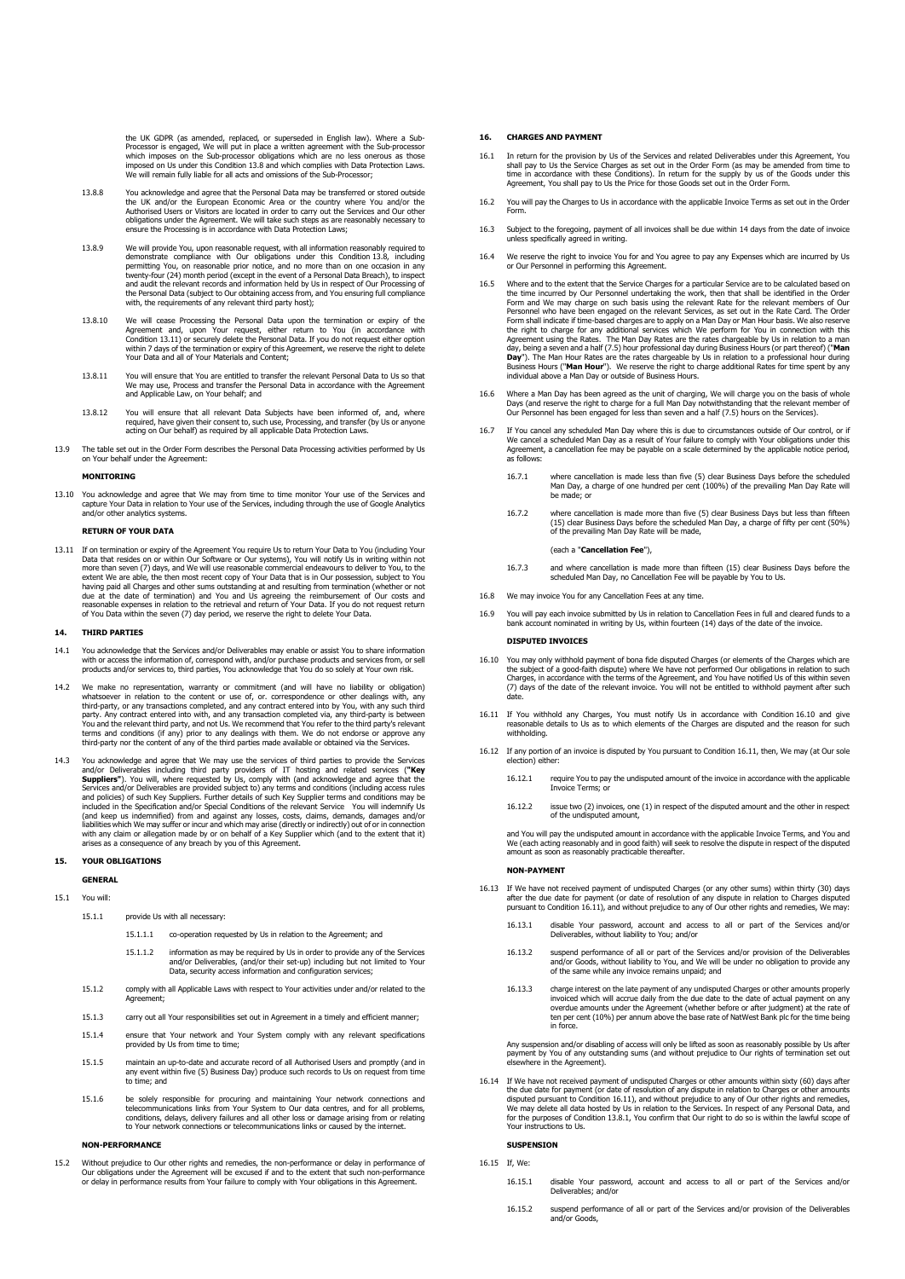the UK GDPR (as amended, replaced, or superseded in English law). Where a Sub-<br>Processor is engaged, We will put in place a written agreement with the Sub-processor<br>which imposes on the Sub-processor obligations which are

- 13.8.8 You acknowledge and agree that the Personal Data may be transferred or stored outside the UK and/or the European Economic Area or the country where You and/or the<br>Authorised Users or Visitors are located in order to carry out the Services and Our other<br>obligations under the Agreement. We will take such step e the Processing is in accordance with Data Protection Laws;
- 13.8.9 We will provide You, upon reasonable request, with all information reasonably required to demonstrate compliance with Our obligations under this Condition.13.8, including<br>permitting You, on reasonable prior notice, and no more than on one occasion in any<br>twenty-four (24) month.period (except in the event of a P and audit the relevant records and information held by Us in respect of Our Processing of<br>the Personal Data (subject to Our obtaining access from, and You ensuring full compliance<br>with, the requirements of any relevant thi
- 13.8.10 We will cease Processing the Personal Data upon the termination or expiry of the Agreement and, upon Your request, either return to You (in accordance with Condition 13.11) or securely delete the Personal Data. If you do not request either option<br>within 7 days of the termination or expiry of this Agreement, we reserve the right to delete<br>Your Data and all of Your Materials an
- 13.8.11 You will ensure that You are entitled to transfer the relevant Personal Data to Us so that We may use, Process and transfer the Personal Data in accordance with the Agreement and Applicable Law, on Your behalf; and
- 13.8.12 You will ensure that all relevant Data Subjects have been informed of, and, where<br>required, have given their consent to, such use, Processing, and transfer (by Us or anyone<br>acting on Our behalf) as required by all
- 13.9 The table set out in the Order Form describes the Personal Data Processing activities performed by Us on Your behalf under the Agreement:

## **MONITORING**

13.10 You acknowledge and agree that We may from time to time monitor Your use of the Services and capture Your Data in relation to Your use of the Services, including through the use of Google Analytics and/or other analytics systems.

### **RETURN OF YOUR DATA**

13.11 If on termination or expiry of the Agreement You require Us to return Your Data to You (including Your Data that resides on or within Our Software or Our systems), You will notify Us in writing within not more than seven (7) days, and We will use reasonable commercial endeavours to deliver to You, to the extent We are able, the then most recent copy of Your Data that is in Our possession, subject to You and having paid all

#### **14. THIRD PARTIES**

- 14.1 You acknowledge that the Services and/or Deliverables may enable or assist You to share information<br>with or access the information of, correspond with, and/or purchase products and services from, or sell<br>products and/
- 14.2 We make no representation, warranty or commitment (and will have no liability or obligation) whatsoever in relation to the content or use of, or. correspondence or other dealings with, any<br>third-party, or any transactions completed, and any contract entered into by You, with any such third<br>party. Any contract ente
- 14.3 You acknowledge and agree that We may use the services of third parties to provide the Services and/or Deliverables including third party providers of IT hosting and related services ("Key Suppliers"). You will, where (and keep us indemnified) from and against any losses, costs, claims, demands, damages and/or liabilities which We may suffer or incur and which may arise (directly or indirectly) out of or in connection with any claim or allegation made by or on behalf of a Key Supplier which (and to the extent that it) arises as a consequence of any breach by you of this Agreement.

# **15. YOUR OBLIGATIONS**

# **GENERAL**

# 15.1 You will:

- 15.1.1 provide Us with all necessary:
	- 15.1.1.1 co-operation requested by Us in relation to the Agreement; and
	- 15.1.1.2 information as may be required by Us in order to provide any of the Services and/or Deliverables, (and/or their set-up) including but not limited to Your Data, security access information and configuration services;
- 15.1.2 comply with all Applicable Laws with respect to Your activities under and/or related to the Agreement;
- 15.1.3 carry out all Your responsibilities set out in Agreement in a timely and efficient manner;
- 15.1.4 ensure that Your network and Your System comply with any relevant specifications provided by Us from time to time;
- 15.1.5 maintain an up-to-date and accurate record of all Authorised Users and promptly (and in any event within five (5) Business Day) produce such records to Us on request from time to time; and
- 15.1.6 be solely responsible for procuring and maintaining Your network connections and<br>telecommunications links from Your System to Our data centres, and for all problems,<br>conditions, delays, delivery failures and all oth to Your network connections or telecommunications links or caused by the internet.

#### **NON-PERFORMANCE**

15.2 Without prejudice to Our other rights and remedies, the non-performance or delay in performance of<br>Our obligations under the Agreement will be excused if and to the extent that such non-performance of<br>or delay in perf

# **16. CHARGES AND PAYMENT**

- 16.1 In return for the provision by Us of the Services and related Deliverables under this Agreement, You<br>shall pay to Us the Service Charges as set out in the Order Form (as may be amended from time to<br>time in accordance
- 16.2 You will pay the Charges to Us in accordance with the applicable Invoice Terms as set out in the Order Form.
- 16.3 Subject to the foregoing, payment of all invoices shall be due within 14 days from the date of invoice unless specifically agreed in writing.
- 16.4 We reserve the right to invoice You for and You agree to pay any Expenses which are incurred by Us or Our Personnel in performing this Agreement.
- <span id="page-4-1"></span>16.5 Where and to the extent that the Service Charges for a particular Service are to be calculated based on<br>the time incurred by Our Personnel undertaking the work, then that shall be identified in the Order<br>Form and We m the right to charge for any additional services which We perform for You in connection with this Agreement using the Rates. The Man Day Rates are the rates chargeable by Us in relation to a man day, being a seven and a hal
- 16.6 Where a Man Day has been agreed as the unit of charging, We will charge you on the basis of whole<br>Days (and reserve the right to charge for a full Man Day notwithstanding that the relevant member of<br>Our Personnel has
- <span id="page-4-0"></span>16.7 If You cancel any scheduled Man Day where this is due to circumstances outside of Our control, or if We cancel a scheduled Man Day as a result of Your failure to comply with Your obligations under this Agreement, a cancellation fee may be payable on a scale determined by the applicable notice period, as follows:
	- 16.7.1 where cancellation is made less than five (5) clear Business Days before the scheduled Man Day, a charge of one hundred per cent (100%) of the prevailing Man Day Rate will be made; or
	- 16.7.2 where cancellation is made more than five (5) clear Business Days but less than fifteen (15) clear Business Days before the scheduled Man Day, a charge of fifty per cent (50%) of the prevailing Man Day Rate will be made,

(each a "**Cancellation Fee**"),

- 16.7.3 and where cancellation is made more than fifteen (15) clear Business Days before the scheduled Man Day, no Cancellation Fee will be payable by You to Us.
- 16.8 We may invoice You for any Cancellation Fees at any time.
- You will pay each invoice submitted by Us in relation to Cancellation Fees in full and cleared funds to a bank account nominated in writing by Us, within fourteen (14) days of the date of the invoice.

#### **DISPUTED INVOICES**

- 16.10 You may only withhold payment of bona fide disputed Charges (or elements of the Charges which are the subject of a good-faith dispute) where We have not performed Our obligations in relation to such Charges, in accor date.
- 16.11 If You withhold any Charges, You must notify Us in accordance with Condition 16.10 and give reasonable details to Us as to which elements of the Charges are disputed and the reason for such withholding.
- 16.12 If any portion of an invoice is disputed by You pursuant to Condition 16.11, then, We may (at Our sole election) either:
	- 16.12.1 require You to pay the undisputed amount of the invoice in accordance with the applicable Invoice Terms; or
	- 16.12.2 issue two (2) invoices, one (1) in respect of the disputed amount and the other in respect of the undisputed amount,

and You will pay the undisputed amount in accordance with the applicable Invoice Terms, and You and<br>We (each acting reasonably and in good faith) will seek to resolve the dispute in respect of the disputed<br>amount as soon a

# **NON-PAYMENT**

- 16.13 If We have not received payment of undisputed Charges (or any other sums) within thirty (30) days after the due date for payment (or date of resolution of any dispute in relation to Charges disputed pursuant to Condition 16.11), and without prejudice to any of Our other rights and remedies, We may:
	- 16.13.1 disable Your password, account and access to all or part of the Services and/or Deliverables, without liability to You; and/or
	- 16.13.2 suspend performance of all or part of the Services and/or provision of the Deliverables and/or Goods, without liability to You, and We will be under no obligation to provide any of the same while any invoice remains unpaid; and
	- 16.13.3 charge interest on the late payment of any undisputed Charges or other amounts properly<br>invoiced which will accrue daily from the due date to the date of actual payment on any<br>overdue amounts under the Agreement (w ten per cent (10%) per annum above the base rate of NatWest Bank plc for the time being in force.

Any suspension and/or disabling of access will only be lifted as soon as reasonably possible by Us after payment by You of any outstanding sums (and without prejudice to Our rights of termination set out elsewhere in the Agreement).

16.14 If We have not received payment of undisputed Charges or other amounts within sixty (60) days after the due date for payment (or date of resolution of any dispute in relation to Charges or other amounts disputed purs Your instructions to Us.

#### **SUSPENSION**

16.15 If, We:

- 16.15.1 disable Your password, account and access to all or part of the Services and/or Deliverables; and/or
- 16.15.2 suspend performance of all or part of the Services and/or provision of the Deliverables suspend pend<br>and/or Goods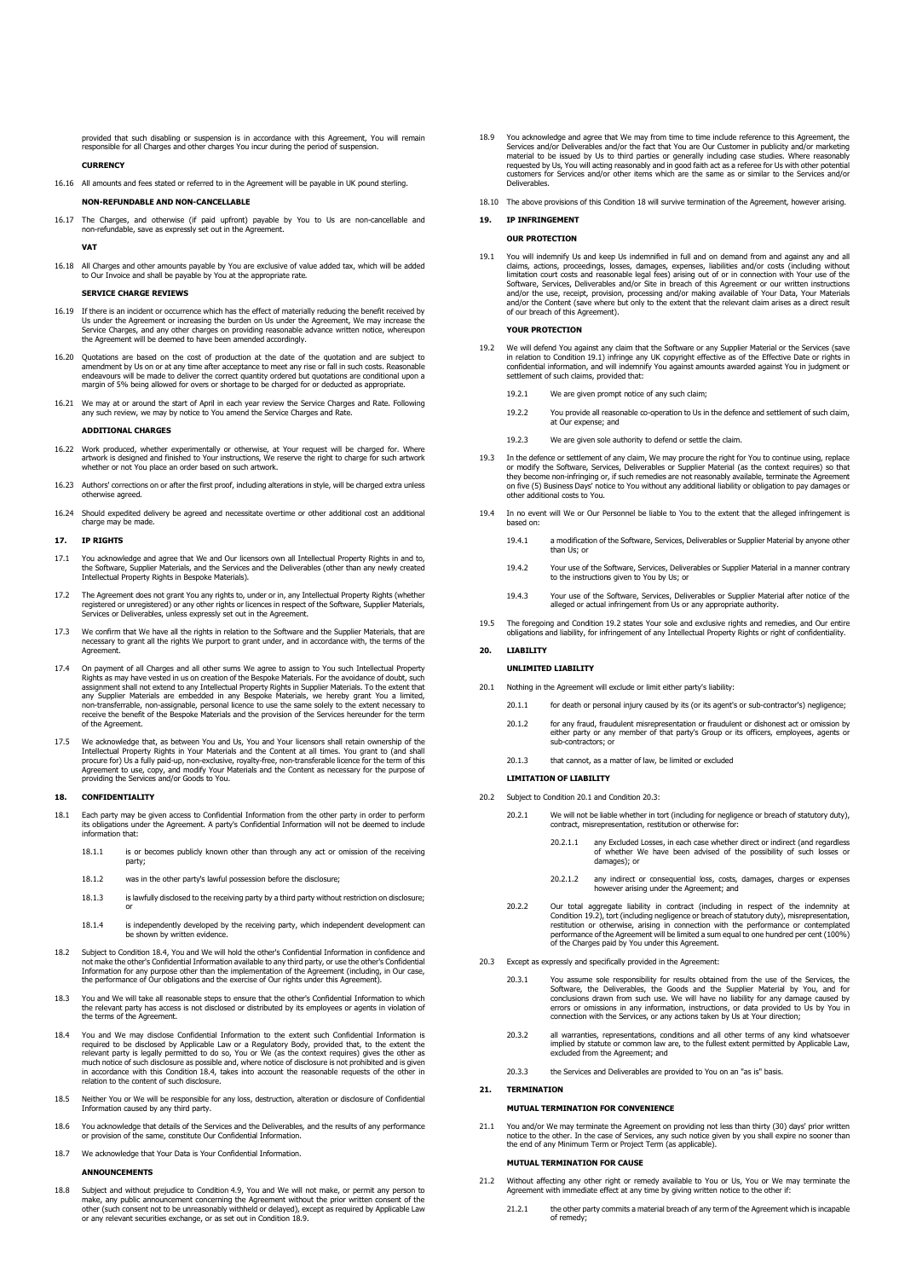provided that such disabling or suspension is in accordance with this Agreement, You will remain responsible for all Charges and other charges You incur during the period of suspension.

# **CURRENCY**

16.16 All amounts and fees stated or referred to in the Agreement will be payable in UK pound sterling.

# **NON-REFUNDABLE AND NON-CANCELLABLE**

16.17 The Charges, and otherwise (if paid upfront) payable by You to Us are non-cancellable and non-refundable, save as expressly set out in the Agreement.

**VAT**

16.18 All Charges and other amounts payable by You are exclusive of value added tax, which will be added to Our Invoice and shall be payable by You at the appropriate rate.

# **SERVICE CHARGE REVIEWS**

- 16.19 If there is an incident or occurrence which has the effect of materially reducing the benefit received by<br>Us under the Agreement or increasing the burden on Us under the Agreement, We may increase the<br>Service Charges
- 16.20 Quotations are based on the cost of production at the date of the quotation and are subject t amendment by Us on or at any time after acceptance to meet any rise or fall in such costs. Reasonable endeavours will be made to deliver the correct quantity ordered but quotations are conditional upon a margin of 5% being allowed for overs or shortage to be charged for or deducted as appropriate
- 16.21 We may at or around the start of April in each year review the Service Charges and Rate. Following any such review, we may by notice to You amend the Service Charges and Rate.

## **ADDITIONAL CHARGES**

- 16.22 Work produced, whether experimentally or otherwise, at Your request will be charged for. Where artwork is designed and finished to Your instructions, We reserve the right to charge for such artwork whether or not You place an order based on such artwork.
- Authors' corrections on or after the first proof, including alterations in style, will be charged extra unless wise agreed
- 16.24 Should expedited delivery be agreed and necessitate overtime or other additional cost an additional charge may be made.

# **17. IP RIGHTS**

- 17.1 You acknowledge and agree that We and Our licensors own all Intellectual Property Rights in and to,<br>the Software, Supplier Materials, and the Services and the Deliverables (other than any newly created<br>Intellectual Pr
- 17.2 The Agreement does not grant You any rights to, under or in, any Intellectual Property Rights (whether<br>registered or unregistered) or any other rights or licences in respect of the Software, Supplier Materials,<br>Servic
- 17.3 We confirm that We have all the rights in relation to the Software and the Supplier Materials, that are necessary to grant all the rights We purport to grant under, and in accordance with, the terms of the Agreement.
- 17.4 On payment of all Charges and all other sums We agree to assign to You such Intellectual Property Rights as may have vested in us on creation of the Bespoke Materials. For the avoidance of doubt, such assignment shall of the Agree
- 17.5 We acknowledge that, as between You and Us, You and Your licensors shall retain ownership of the Intellectual Property Rights in Your Materials and the Content at all times. You grant to (and shall procure for) Us a fully paid-up, non-exclusive, royalty-free, non-transferable licence for the term of this<br>Agreement to use, copy, and modify Your Materials and the Content as necessary for the purpose of<br>providing the Se

#### <span id="page-5-0"></span>**18. CONFIDENTIALITY**

- Each party may be given access to Confidential Information from the other party in order to perform its obligations under the Agreement. A party's Confidential Information will not be deemed to include information that:
	- 18.1.1 is or becomes publicly known other than through any act or omission of the receiving party;
	- 18.1.2 was in the other party's lawful possession before the disclosure;
	- 18.1.3 is lawfully disclosed to the receiving party by a third party without restriction on disclosure; or
	- 18.1.4 is independently developed by the receiving party, which independent development can be shown by written evidence.
- 18.2 Subject to Condition 18.4, You and We will hold the other's Confidential Information in confidence and not make the other's Confidential Information available to any third party, or use the other's Confidential<br>Information for any purpose other than the implementation of the Agreement (including, in Our case,<br>the performanc
- 18.3 You and We will take all reasonable steps to ensure that the other's Confidential Information to which the relevant party has access is not disclosed or distributed by its employees or agents in violation of the terms of the Agreement.
- 18.4 You and We may disclose Confidential Information to the extent such Confidential Information is<br>required to be disclosed by Applicable Law or a Regulatory Body, provided that, to the extent the<br>relevant party is legal in accordance with this Condition 18.4, takes into account the reasonable requests of the other in relation to the content of such disclosure
- 18.5 Neither You or We will be responsible for any loss, destruction, alteration or disclosure of Confidential Information caused by any third party.
- 18.6 You acknowledge that details of the Services and the Deliverables, and the results of any performance or provision of the same, constitute Our Confidential Information.
- 18.7 We acknowledge that Your Data is Your Confidential Information.

# **ANNOUNCEMENTS**

18.8 Subject and without prejudice to Condition 4.9, You and We will not make, or permit any person to make, any public announcement concerning the Agreement without the prior written consent of the other (such consent not to be unreasonably withheld or delayed), except as required by Applicable Law or any relevant securities exchange, or as set out in Condition 18.9.

- 18.9 You acknowledge and agree that We may from time to time include reference to this Agreement, the Services and/or Deliverables and/or the fact that You are Our Customer in publicity and/or marketing Services and/or Deliverables and/or the fact that You are Our Customer in publicity and/or marketing<br>material to be issued by Us to third parties or generally including case studies. Where reasonably<br>requested by Us, You w Deliverables.
- 18.10 The above provisions of this Condition 18 will survive termination of the Agreement, however arising.

### **19. IP INFRINGEMENT**

# **OUR PROTECTION**

19.1 You will indemnify Us and keep Us indemnified in full and on demand from and against any and all claims, actions, proceedings, losses, damages, expenses, liabilities and/or costs (including without<br>limitation court costs and reasonable legal fees) arising out of or in connection with Your use of the<br>Software, Services

# **YOUR PROTECTION**

19.2 We will defend You against any claim that the Software or any Supplier Material or the Services (save<br>in relation to Condition 19.1) infinge any UK copyright effective as of the Effective Date or rights in<br>confidentia settlement of such claims, provided that:

19.2.1 We are given prompt notice of any such claim;

- 19.2.2 You provide all reasonable co-operation to Us in the defence and settlement of such claim, at Our expense; and
- 19.2.3 We are given sole authority to defend or settle the claim.
- 19.3 In the defence or settlement of any claim, We may procure the right for You to continue using, replace or modify the Software, Services, Deliverables or Supplier Material (as the context requires) so that<br>they become non-infringing or, if such remedies are not reasonably available, terminate the Agreement<br>on five (5) Busine
- 19.4 In no event will We or Our Personnel be liable to You to the extent that the alleged infringement is based on:
	- 19.4.1 a modification of the Software, Services, Deliverables or Supplier Material by anyone other than Us; or
	- 19.4.2 Your use of the Software, Services, Deliverables or Supplier Material in a manner contrary to the instructions given to You by Us; or
	- 19.4.3 Your use of the Software, Services, Deliverables or Supplier Material after notice of the alleged or actual infringement from Us or any appropriate authority.
- 19.5 The foregoing and Condition 19.2 states Your sole and exclusive rights and remedies, and Our entire obligations and liability, for infringement of any Intellectual Property Rights or right of confidentiality.

# **20. LIABILITY**

### **UNLIMITED LIABILITY**

- <span id="page-5-2"></span>20.1 Nothing in the Agreement will exclude or limit either party's liability:
	- 20.1.1 for death or personal injury caused by its (or its agent's or sub-contractor's) negligence;
	- 20.1.2 for any fraud, fraudulent misrepresentation or fraudulent or dishonest act or omission by either party or any member of that party's Group or its officers, employees, agents or sub-contractors; or
	- 20.1.3 that cannot, as a matter of law, be limited or excluded

## **LIMITATION OF LIABILITY**

- 20.2 Subject to Condition 20.1 and Condition 20.3
	- 20.2.1 We will not be liable whether in tort (including for negligence or breach of statutory duty), contract, misrepresentation, restitution or otherwise fo
		- 20.2.1.1 any Excluded Losses, in each case whether direct or indirect (and regardless of whether We have been advised of the possibility of such losses or damages); or
		- 20.2.1.2 any indirect or consequential loss, costs, damages, charges or expenses however arising under the Agreement; and
	- 20.2.2 Our total aggregate liability in contract (including in respect of the indemnity at Condition 19.2), tort (including negligence or breach of statutory duty), misrepresentation, restitution or otherwise, arising in c
- 20.3 Except as expressly and specifically provided in the Agreement:
	- 20.3.1 You assume sole responsibility for results obtained from the use of the Services, the Software, the Deliverables, the Goods and the Supplier Material by You, and for Condusions drawn from such use. We will have no l connection with the Services, or any actions taken by Us at Your direction;
	- 20.3.2 all warranties, representations, conditions and all other terms of any kind whatsoever implied by statute or common law are, to the fullest extent permitted by Applicable Law, excluded from the Agreement; and
	- 20.3.3 the Services and Deliverables are provided to You on an "as is" basis.

### <span id="page-5-1"></span>**21. TERMINATION**

# **MUTUAL TERMINATION FOR CONVENIENCE**

21.1 You and/or We may terminate the Agreement on providing not less than thirty (30) days' prior written<br>notice to the other . In the case of Services, any such notice given by you shall expire no sooner than<br>the end of a

# **MUTUAL TERMINATION FOR CAUSE**

- <span id="page-5-3"></span>21.2 Without affecting any other right or remedy available to You or Us, You or We may terminate the Agreement with immediate effect at any time by giving written notice to the other if:
	- 21.2.1 the other party commits a material breach of any term of the Agreement which is incapable of remedy;